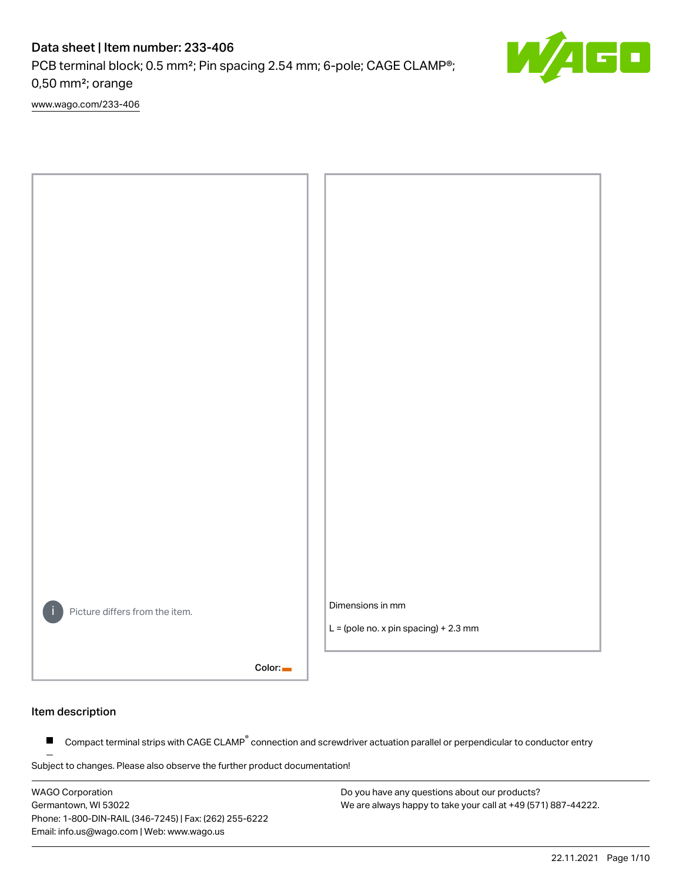PCB terminal block; 0.5 mm²; Pin spacing 2.54 mm; 6-pole; CAGE CLAMP®; 0,50 mm²; orange

[www.wago.com/233-406](http://www.wago.com/233-406)



#### Item description

Compact terminal strips with CAGE CLAMP<sup>®</sup> connection and screwdriver actuation parallel or perpendicular to conductor entry  $\blacksquare$ 

Subject to changes. Please also observe the further product documentation!

WAGO Corporation Germantown, WI 53022 Phone: 1-800-DIN-RAIL (346-7245) | Fax: (262) 255-6222 Email: info.us@wago.com | Web: www.wago.us

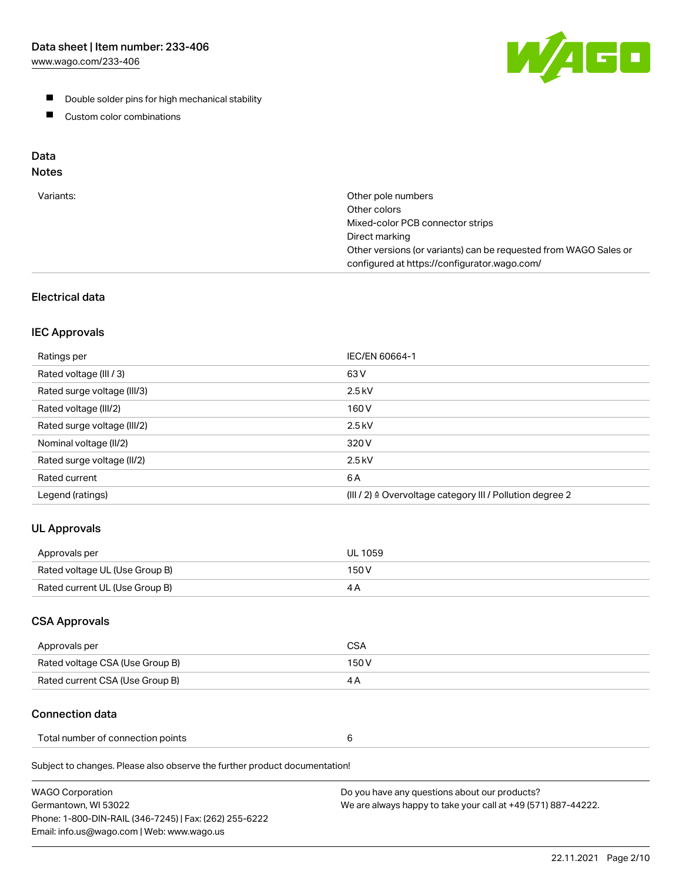[www.wago.com/233-406](http://www.wago.com/233-406)



- **Double solder pins for high mechanical stability**
- **Custom color combinations**

# Data

# Notes

| Variants: | Other pole numbers<br>Other colors<br>Mixed-color PCB connector strips<br>Direct marking<br>Other versions (or variants) can be requested from WAGO Sales or<br>configured at https://configurator.wago.com/ |
|-----------|--------------------------------------------------------------------------------------------------------------------------------------------------------------------------------------------------------------|
|           |                                                                                                                                                                                                              |

## Electrical data

## IEC Approvals

| Ratings per                 | IEC/EN 60664-1                                                        |
|-----------------------------|-----------------------------------------------------------------------|
| Rated voltage (III / 3)     | 63 V                                                                  |
| Rated surge voltage (III/3) | $2.5$ kV                                                              |
| Rated voltage (III/2)       | 160 V                                                                 |
| Rated surge voltage (III/2) | $2.5$ kV                                                              |
| Nominal voltage (II/2)      | 320 V                                                                 |
| Rated surge voltage (II/2)  | $2.5$ kV                                                              |
| Rated current               | 6 A                                                                   |
| Legend (ratings)            | $(III / 2)$ $\triangle$ Overvoltage category III / Pollution degree 2 |

## UL Approvals

| Approvals per                  | UL 1059 |
|--------------------------------|---------|
| Rated voltage UL (Use Group B) | 150 V   |
| Rated current UL (Use Group B) |         |

## CSA Approvals

| Approvals per                   | CSA   |
|---------------------------------|-------|
| Rated voltage CSA (Use Group B) | 150 V |
| Rated current CSA (Use Group B) |       |

## Connection data

| Total number of connection points |  |
|-----------------------------------|--|
|-----------------------------------|--|

Subject to changes. Please also observe the further product documentation!

| <b>WAGO Corporation</b>                                | Do you have any questions about our products?                 |
|--------------------------------------------------------|---------------------------------------------------------------|
| Germantown, WI 53022                                   | We are always happy to take your call at +49 (571) 887-44222. |
| Phone: 1-800-DIN-RAIL (346-7245)   Fax: (262) 255-6222 |                                                               |
| Email: info.us@wago.com   Web: www.wago.us             |                                                               |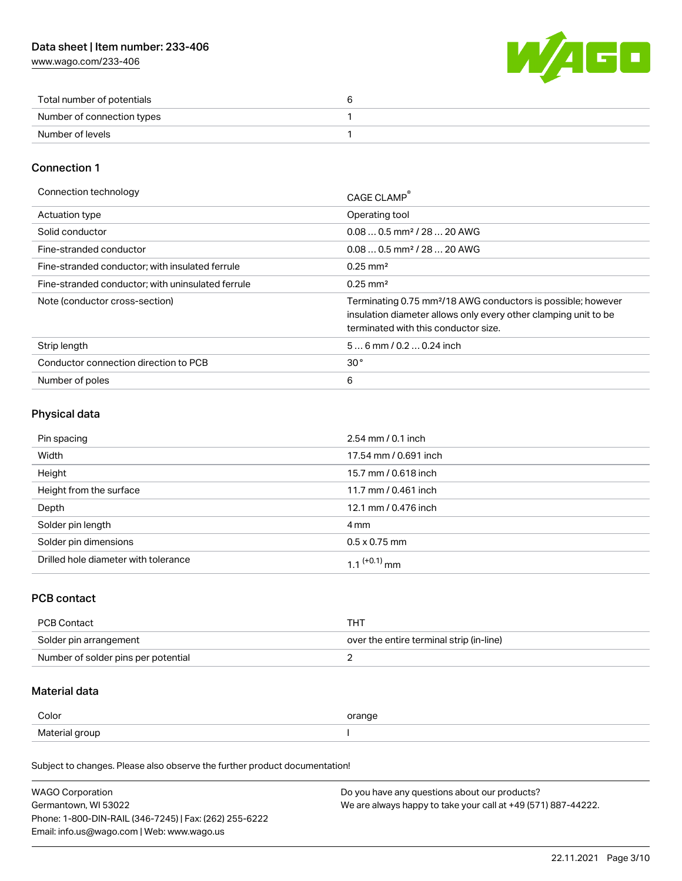[www.wago.com/233-406](http://www.wago.com/233-406)



| Total number of potentials |  |
|----------------------------|--|
| Number of connection types |  |
| Number of levels           |  |

## Connection 1

| Connection technology                             | CAGE CLAMP                                                                                                                                                                          |
|---------------------------------------------------|-------------------------------------------------------------------------------------------------------------------------------------------------------------------------------------|
| <b>Actuation type</b>                             | Operating tool                                                                                                                                                                      |
| Solid conductor                                   | $0.080.5$ mm <sup>2</sup> / 28  20 AWG                                                                                                                                              |
| Fine-stranded conductor                           | $0.080.5$ mm <sup>2</sup> / 28  20 AWG                                                                                                                                              |
| Fine-stranded conductor; with insulated ferrule   | $0.25 \text{ mm}^2$                                                                                                                                                                 |
| Fine-stranded conductor; with uninsulated ferrule | $0.25 \text{ mm}^2$                                                                                                                                                                 |
| Note (conductor cross-section)                    | Terminating 0.75 mm <sup>2</sup> /18 AWG conductors is possible; however<br>insulation diameter allows only every other clamping unit to be<br>terminated with this conductor size. |
| Strip length                                      | $56$ mm / 0.2  0.24 inch                                                                                                                                                            |
| Conductor connection direction to PCB             | 30 <sup>°</sup>                                                                                                                                                                     |
| Number of poles                                   | 6                                                                                                                                                                                   |

## Physical data

| Pin spacing                          | $2.54 \, \text{mm}$ / 0.1 inch |
|--------------------------------------|--------------------------------|
| Width                                | 17.54 mm / 0.691 inch          |
| Height                               | 15.7 mm / 0.618 inch           |
| Height from the surface              | 11.7 mm / 0.461 inch           |
| Depth                                | 12.1 mm / 0.476 inch           |
| Solder pin length                    | 4 mm                           |
| Solder pin dimensions                | $0.5 \times 0.75$ mm           |
| Drilled hole diameter with tolerance | 1 1 <sup>(+0.1)</sup> mm       |

## PCB contact

| PCB Contact                         | THT                                      |
|-------------------------------------|------------------------------------------|
| Solder pin arrangement              | over the entire terminal strip (in-line) |
| Number of solder pins per potential |                                          |

## Material data

| Color          | orange |
|----------------|--------|
| Material group |        |

Subject to changes. Please also observe the further product documentation!

| <b>WAGO Corporation</b>                                | Do you have any questions about our products?                 |
|--------------------------------------------------------|---------------------------------------------------------------|
| Germantown, WI 53022                                   | We are always happy to take your call at +49 (571) 887-44222. |
| Phone: 1-800-DIN-RAIL (346-7245)   Fax: (262) 255-6222 |                                                               |
| Email: info.us@wago.com   Web: www.wago.us             |                                                               |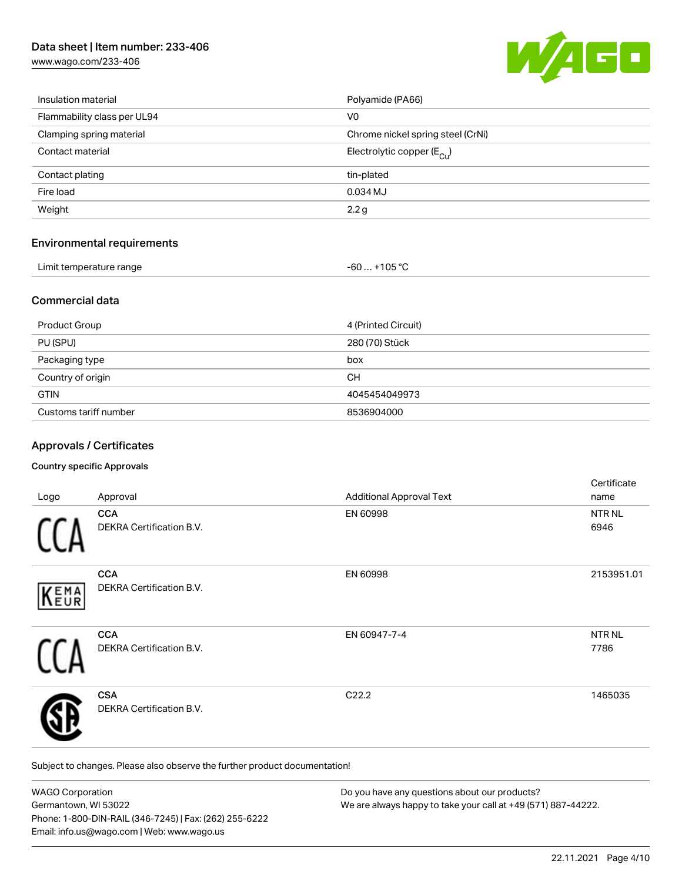[www.wago.com/233-406](http://www.wago.com/233-406)



| Insulation material         | Polyamide (PA66)                      |
|-----------------------------|---------------------------------------|
| Flammability class per UL94 | V <sub>0</sub>                        |
| Clamping spring material    | Chrome nickel spring steel (CrNi)     |
| Contact material            | Electrolytic copper $(E_{\text{Cl}})$ |
| Contact plating             | tin-plated                            |
| Fire load                   | 0.034 MJ                              |
| Weight                      | 2.2 <sub>g</sub>                      |
|                             |                                       |

## Environmental requirements

| Limit temperature range |  |
|-------------------------|--|
|                         |  |

### Commercial data

| <b>Product Group</b>  | 4 (Printed Circuit) |
|-----------------------|---------------------|
| PU (SPU)              | 280 (70) Stück      |
| Packaging type        | box                 |
| Country of origin     | CН                  |
| <b>GTIN</b>           | 4045454049973       |
| Customs tariff number | 8536904000          |

 $-60... +105 °C$ 

## Approvals / Certificates

#### Country specific Approvals

| Logo | Approval                                      | <b>Additional Approval Text</b> | Certificate<br>name   |
|------|-----------------------------------------------|---------------------------------|-----------------------|
|      | <b>CCA</b><br><b>DEKRA Certification B.V.</b> | EN 60998                        | NTR NL<br>6946        |
| KEMA | <b>CCA</b><br>DEKRA Certification B.V.        | EN 60998                        | 2153951.01            |
|      | <b>CCA</b><br>DEKRA Certification B.V.        | EN 60947-7-4                    | <b>NTR NL</b><br>7786 |
|      | <b>CSA</b><br><b>DEKRA Certification B.V.</b> | C22.2                           | 1465035               |

Subject to changes. Please also observe the further product documentation!

| <b>WAGO Corporation</b>                                | Do you have any questions about our products?                 |
|--------------------------------------------------------|---------------------------------------------------------------|
| Germantown, WI 53022                                   | We are always happy to take your call at +49 (571) 887-44222. |
| Phone: 1-800-DIN-RAIL (346-7245)   Fax: (262) 255-6222 |                                                               |
| Email: info.us@wago.com   Web: www.wago.us             |                                                               |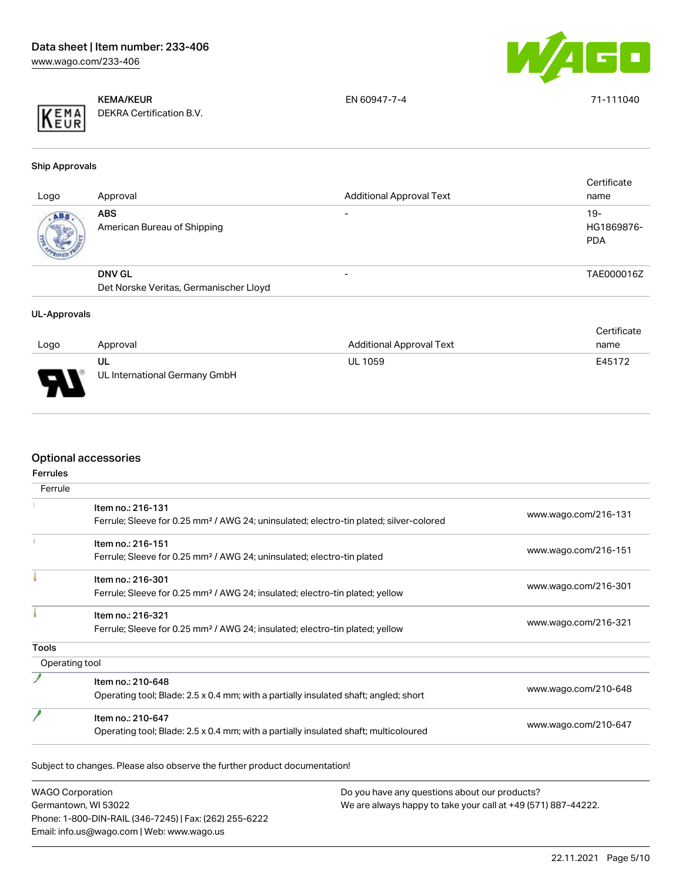

|--|

KEMA/KEUR DEKRA Certification B.V. EN 60947-7-4 71-111040

Ship Approvals

| Logo | Approval                                                | <b>Additional Approval Text</b> | Certificate<br>name               |
|------|---------------------------------------------------------|---------------------------------|-----------------------------------|
| ABS. | <b>ABS</b><br>American Bureau of Shipping               | $\overline{\phantom{0}}$        | $19-$<br>HG1869876-<br><b>PDA</b> |
|      | <b>DNV GL</b><br>Det Norske Veritas, Germanischer Lloyd |                                 | TAE000016Z                        |
|      |                                                         |                                 |                                   |

#### UL-Approvals

|        |                               |                                 | Certificate |
|--------|-------------------------------|---------------------------------|-------------|
| Logo   | Approval                      | <b>Additional Approval Text</b> | name        |
|        | UL                            | <b>UL 1059</b>                  | E45172      |
| $\Box$ | UL International Germany GmbH |                                 |             |

## Optional accessories

| Ferrule        |                                                                                                    |                      |
|----------------|----------------------------------------------------------------------------------------------------|----------------------|
|                | Item no.: 216-131                                                                                  | www.wago.com/216-131 |
|                | Ferrule; Sleeve for 0.25 mm <sup>2</sup> / AWG 24; uninsulated; electro-tin plated; silver-colored |                      |
|                | Item no.: 216-151                                                                                  |                      |
|                | Ferrule; Sleeve for 0.25 mm <sup>2</sup> / AWG 24; uninsulated; electro-tin plated                 | www.wago.com/216-151 |
|                | Item no.: 216-301                                                                                  |                      |
|                | Ferrule; Sleeve for 0.25 mm <sup>2</sup> / AWG 24; insulated; electro-tin plated; yellow           | www.wago.com/216-301 |
|                | Item no.: 216-321                                                                                  |                      |
|                | Ferrule; Sleeve for 0.25 mm <sup>2</sup> / AWG 24; insulated; electro-tin plated; yellow           | www.wago.com/216-321 |
| <b>Tools</b>   |                                                                                                    |                      |
| Operating tool |                                                                                                    |                      |
|                | Item no.: 210-648                                                                                  |                      |
|                | Operating tool; Blade: 2.5 x 0.4 mm; with a partially insulated shaft; angled; short               | www.wago.com/210-648 |
|                | Item no.: 210-647                                                                                  |                      |
|                | Operating tool; Blade: 2.5 x 0.4 mm; with a partially insulated shaft; multicoloured               | www.wago.com/210-647 |

WAGO Corporation Germantown, WI 53022 Phone: 1-800-DIN-RAIL (346-7245) | Fax: (262) 255-6222 Email: info.us@wago.com | Web: www.wago.us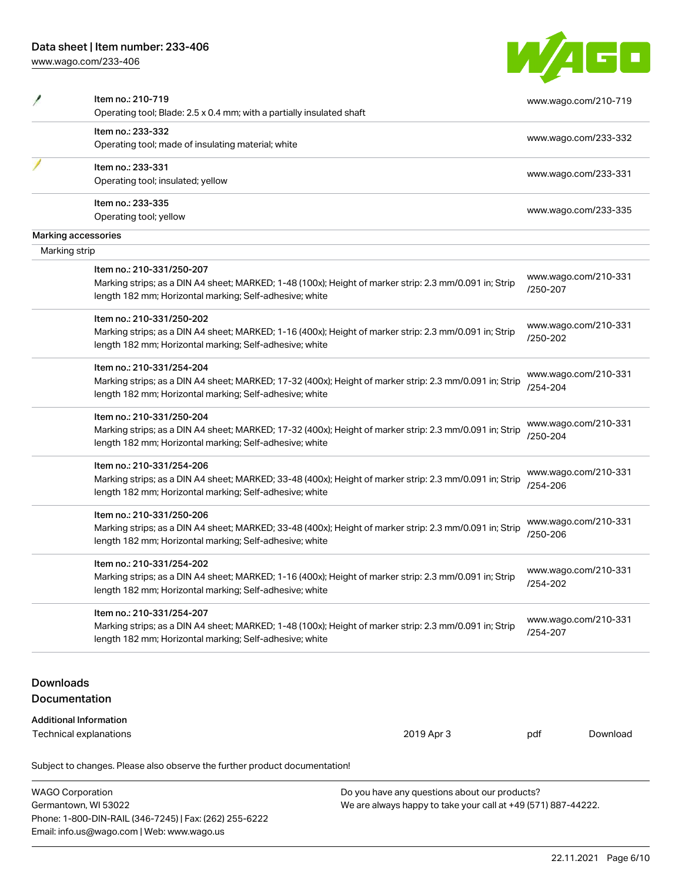Email: info.us@wago.com | Web: www.wago.us

[www.wago.com/233-406](http://www.wago.com/233-406)

| <b>TELESCOPE</b> |  |
|------------------|--|
|                  |  |

|                  | Item no.: 210-719<br>Operating tool; Blade: 2.5 x 0.4 mm; with a partially insulated shaft                                                                                                      |                                                               |          | www.wago.com/210-719 |
|------------------|-------------------------------------------------------------------------------------------------------------------------------------------------------------------------------------------------|---------------------------------------------------------------|----------|----------------------|
|                  | Item no.: 233-332                                                                                                                                                                               |                                                               |          |                      |
|                  | Operating tool; made of insulating material; white                                                                                                                                              |                                                               |          | www.wago.com/233-332 |
|                  | Item no.: 233-331                                                                                                                                                                               |                                                               |          | www.wago.com/233-331 |
|                  | Operating tool; insulated; yellow                                                                                                                                                               |                                                               |          |                      |
|                  | Item no.: 233-335                                                                                                                                                                               |                                                               |          | www.wago.com/233-335 |
|                  | Operating tool; yellow                                                                                                                                                                          |                                                               |          |                      |
|                  | Marking accessories                                                                                                                                                                             |                                                               |          |                      |
| Marking strip    |                                                                                                                                                                                                 |                                                               |          |                      |
|                  | Item no.: 210-331/250-207<br>Marking strips; as a DIN A4 sheet; MARKED; 1-48 (100x); Height of marker strip: 2.3 mm/0.091 in; Strip<br>length 182 mm; Horizontal marking; Self-adhesive; white  |                                                               | /250-207 | www.wago.com/210-331 |
|                  | Item no.: 210-331/250-202<br>Marking strips; as a DIN A4 sheet; MARKED; 1-16 (400x); Height of marker strip: 2.3 mm/0.091 in; Strip                                                             |                                                               | /250-202 | www.wago.com/210-331 |
|                  | length 182 mm; Horizontal marking; Self-adhesive; white                                                                                                                                         |                                                               |          |                      |
|                  | Item no.: 210-331/254-204<br>Marking strips; as a DIN A4 sheet; MARKED; 17-32 (400x); Height of marker strip: 2.3 mm/0.091 in; Strip<br>length 182 mm; Horizontal marking; Self-adhesive; white |                                                               | /254-204 | www.wago.com/210-331 |
|                  | Item no.: 210-331/250-204                                                                                                                                                                       |                                                               |          |                      |
|                  | Marking strips; as a DIN A4 sheet; MARKED; 17-32 (400x); Height of marker strip: 2.3 mm/0.091 in; Strip<br>length 182 mm; Horizontal marking; Self-adhesive; white                              |                                                               | /250-204 | www.wago.com/210-331 |
|                  | Item no.: 210-331/254-206<br>Marking strips; as a DIN A4 sheet; MARKED; 33-48 (400x); Height of marker strip: 2.3 mm/0.091 in; Strip<br>length 182 mm; Horizontal marking; Self-adhesive; white |                                                               | /254-206 | www.wago.com/210-331 |
|                  | Item no.: 210-331/250-206<br>Marking strips; as a DIN A4 sheet; MARKED; 33-48 (400x); Height of marker strip: 2.3 mm/0.091 in; Strip<br>length 182 mm; Horizontal marking; Self-adhesive; white |                                                               | /250-206 | www.wago.com/210-331 |
|                  | Item no.: 210-331/254-202<br>Marking strips; as a DIN A4 sheet; MARKED; 1-16 (400x); Height of marker strip: 2.3 mm/0.091 in; Strip<br>length 182 mm; Horizontal marking; Self-adhesive; white  |                                                               | /254-202 | www.wago.com/210-331 |
|                  | Item no.: 210-331/254-207<br>Marking strips; as a DIN A4 sheet; MARKED; 1-48 (100x); Height of marker strip: 2.3 mm/0.091 in; Strip<br>length 182 mm; Horizontal marking; Self-adhesive; white  |                                                               | /254-207 | www.wago.com/210-331 |
| <b>Downloads</b> | Documentation                                                                                                                                                                                   |                                                               |          |                      |
|                  | <b>Additional Information</b><br>Technical explanations                                                                                                                                         | 2019 Apr 3                                                    | pdf      | Download             |
|                  | Subject to changes. Please also observe the further product documentation!                                                                                                                      |                                                               |          |                      |
|                  | <b>WAGO Corporation</b>                                                                                                                                                                         | Do you have any questions about our products?                 |          |                      |
|                  | Germantown, WI 53022<br>Phone: 1-800-DIN-RAIL (346-7245)   Fax: (262) 255-6222                                                                                                                  | We are always happy to take your call at +49 (571) 887-44222. |          |                      |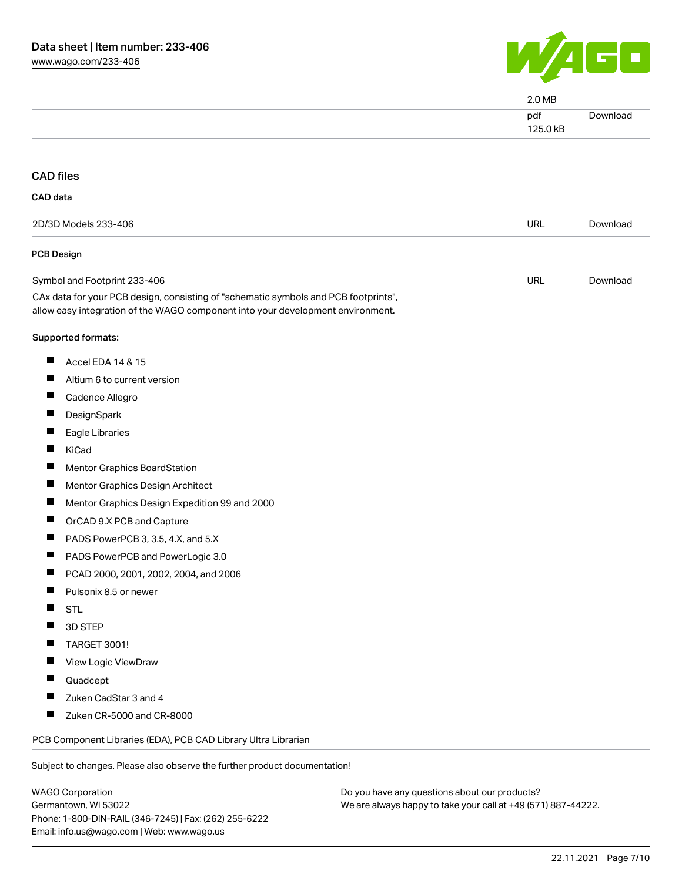

|                                                                                                                                                                        | 2.0 MB          |          |
|------------------------------------------------------------------------------------------------------------------------------------------------------------------------|-----------------|----------|
|                                                                                                                                                                        | pdf<br>125.0 kB | Download |
| <b>CAD</b> files                                                                                                                                                       |                 |          |
| CAD data                                                                                                                                                               |                 |          |
|                                                                                                                                                                        |                 |          |
| 2D/3D Models 233-406                                                                                                                                                   | <b>URL</b>      | Download |
| <b>PCB Design</b>                                                                                                                                                      |                 |          |
| Symbol and Footprint 233-406                                                                                                                                           | <b>URL</b>      | Download |
| CAx data for your PCB design, consisting of "schematic symbols and PCB footprints",<br>allow easy integration of the WAGO component into your development environment. |                 |          |
| Supported formats:                                                                                                                                                     |                 |          |
| <b>The State</b><br>Accel EDA 14 & 15                                                                                                                                  |                 |          |
| Altium 6 to current version<br><b>I</b>                                                                                                                                |                 |          |
| <b>I</b><br>Cadence Allegro                                                                                                                                            |                 |          |
| ш<br>DesignSpark                                                                                                                                                       |                 |          |
| Eagle Libraries                                                                                                                                                        |                 |          |
| KiCad<br><b>I</b>                                                                                                                                                      |                 |          |
| T.<br>Mentor Graphics BoardStation                                                                                                                                     |                 |          |
| Mentor Graphics Design Architect                                                                                                                                       |                 |          |
| Mentor Graphics Design Expedition 99 and 2000                                                                                                                          |                 |          |
| <b>The Second Second</b><br>OrCAD 9.X PCB and Capture                                                                                                                  |                 |          |
| PADS PowerPCB 3, 3.5, 4.X, and 5.X                                                                                                                                     |                 |          |
| PADS PowerPCB and PowerLogic 3.0                                                                                                                                       |                 |          |
| PCAD 2000, 2001, 2002, 2004, and 2006                                                                                                                                  |                 |          |
| Pulsonix 8.5 or newer                                                                                                                                                  |                 |          |
| <b>STL</b><br>H                                                                                                                                                        |                 |          |
| 3D STEP<br>a se                                                                                                                                                        |                 |          |
| TARGET 3001!<br>ш                                                                                                                                                      |                 |          |
| View Logic ViewDraw                                                                                                                                                    |                 |          |
| H<br>Quadcept                                                                                                                                                          |                 |          |
| Zuken CadStar 3 and 4<br>ш                                                                                                                                             |                 |          |
| T.<br>Zuken CR-5000 and CR-8000                                                                                                                                        |                 |          |
| PCB Component Libraries (EDA), PCB CAD Library Ultra Librarian                                                                                                         |                 |          |
| Subject to changes. Please also observe the further product documentation!                                                                                             |                 |          |
|                                                                                                                                                                        |                 |          |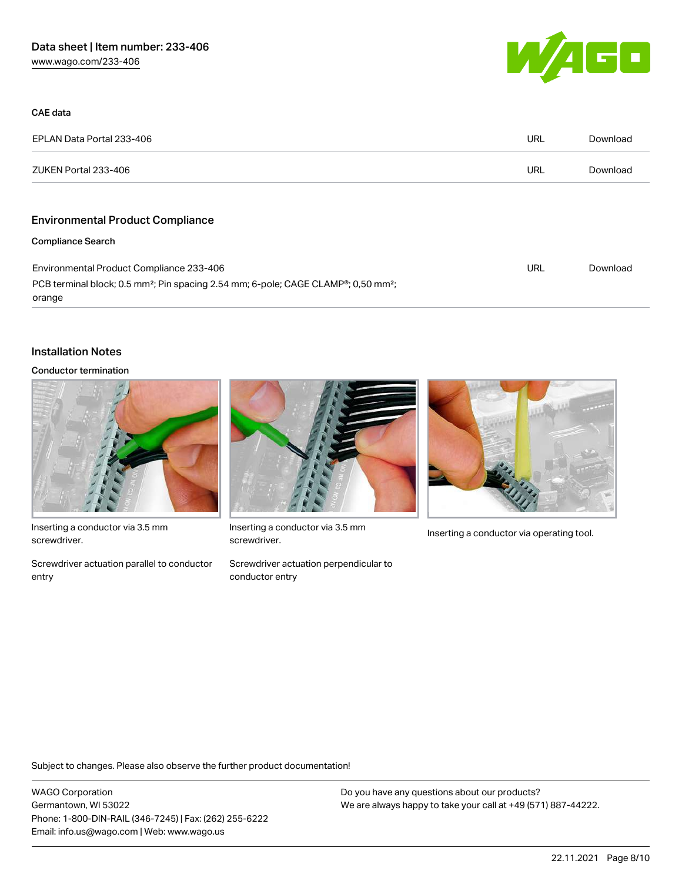

| CAE data                                                                                                             |     |          |
|----------------------------------------------------------------------------------------------------------------------|-----|----------|
| EPLAN Data Portal 233-406                                                                                            | URL | Download |
| ZUKEN Portal 233-406                                                                                                 | URL | Download |
| <b>Environmental Product Compliance</b>                                                                              |     |          |
| <b>Compliance Search</b>                                                                                             |     |          |
| Environmental Product Compliance 233-406                                                                             | URL | Download |
| PCB terminal block; 0.5 mm <sup>2</sup> ; Pin spacing 2.54 mm; 6-pole; CAGE CLAMP®; 0,50 mm <sup>2</sup> ;<br>orange |     |          |

### Installation Notes

#### Conductor termination



Inserting a conductor via 3.5 mm screwdriver.

Screwdriver actuation parallel to conductor entry



Inserting a conductor via 3.5 mm<br>Inserting a conductor via operating tool. screwdriver.

Screwdriver actuation perpendicular to conductor entry



Subject to changes. Please also observe the further product documentation!

WAGO Corporation Germantown, WI 53022 Phone: 1-800-DIN-RAIL (346-7245) | Fax: (262) 255-6222 Email: info.us@wago.com | Web: www.wago.us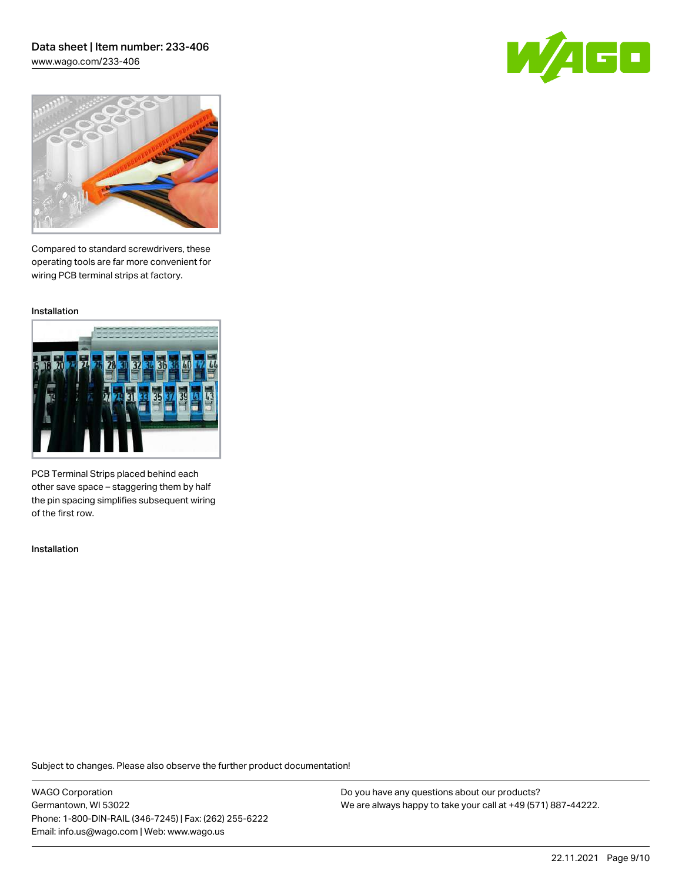[www.wago.com/233-406](http://www.wago.com/233-406)





Compared to standard screwdrivers, these operating tools are far more convenient for wiring PCB terminal strips at factory.

Installation



PCB Terminal Strips placed behind each other save space – staggering them by half the pin spacing simplifies subsequent wiring of the first row.

Installation

Subject to changes. Please also observe the further product documentation!

WAGO Corporation Germantown, WI 53022 Phone: 1-800-DIN-RAIL (346-7245) | Fax: (262) 255-6222 Email: info.us@wago.com | Web: www.wago.us